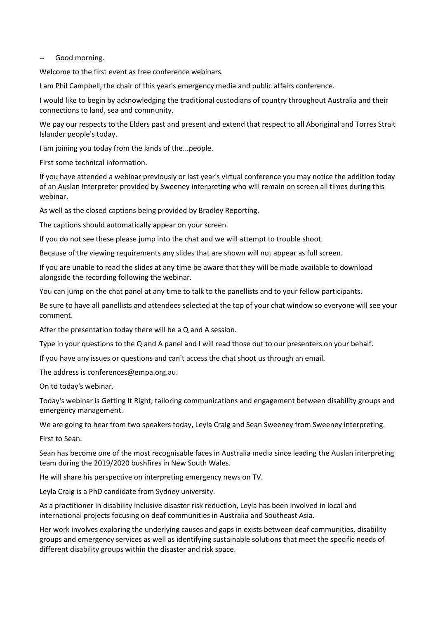## -- Good morning.

Welcome to the first event as free conference webinars.

I am Phil Campbell, the chair of this year's emergency media and public affairs conference.

I would like to begin by acknowledging the traditional custodians of country throughout Australia and their connections to land, sea and community.

We pay our respects to the Elders past and present and extend that respect to all Aboriginal and Torres Strait Islander people's today.

I am joining you today from the lands of the...people.

First some technical information.

If you have attended a webinar previously or last year's virtual conference you may notice the addition today of an Auslan Interpreter provided by Sweeney interpreting who will remain on screen all times during this webinar.

As well as the closed captions being provided by Bradley Reporting.

The captions should automatically appear on your screen.

If you do not see these please jump into the chat and we will attempt to trouble shoot.

Because of the viewing requirements any slides that are shown will not appear as full screen.

If you are unable to read the slides at any time be aware that they will be made available to download alongside the recording following the webinar.

You can jump on the chat panel at any time to talk to the panellists and to your fellow participants.

Be sure to have all panellists and attendees selected at the top of your chat window so everyone will see your comment.

After the presentation today there will be a Q and A session.

Type in your questions to the Q and A panel and I will read those out to our presenters on your behalf.

If you have any issues or questions and can't access the chat shoot us through an email.

The address is conferences@empa.org.au.

On to today's webinar.

Today's webinar is Getting It Right, tailoring communications and engagement between disability groups and emergency management.

We are going to hear from two speakers today, Leyla Craig and Sean Sweeney from Sweeney interpreting.

First to Sean.

Sean has become one of the most recognisable faces in Australia media since leading the Auslan interpreting team during the 2019/2020 bushfires in New South Wales.

He will share his perspective on interpreting emergency news on TV.

Leyla Craig is a PhD candidate from Sydney university.

As a practitioner in disability inclusive disaster risk reduction, Leyla has been involved in local and international projects focusing on deaf communities in Australia and Southeast Asia.

Her work involves exploring the underlying causes and gaps in exists between deaf communities, disability groups and emergency services as well as identifying sustainable solutions that meet the specific needs of different disability groups within the disaster and risk space.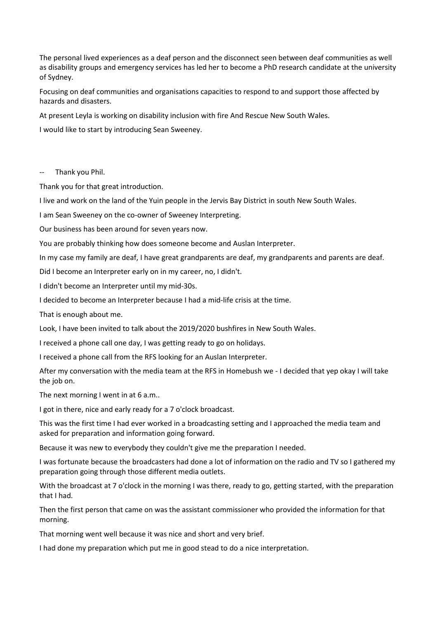The personal lived experiences as a deaf person and the disconnect seen between deaf communities as well as disability groups and emergency services has led her to become a PhD research candidate at the university of Sydney.

Focusing on deaf communities and organisations capacities to respond to and support those affected by hazards and disasters.

At present Leyla is working on disability inclusion with fire And Rescue New South Wales.

I would like to start by introducing Sean Sweeney.

Thank you Phil.

Thank you for that great introduction.

I live and work on the land of the Yuin people in the Jervis Bay District in south New South Wales.

I am Sean Sweeney on the co-owner of Sweeney Interpreting.

Our business has been around for seven years now.

You are probably thinking how does someone become and Auslan Interpreter.

In my case my family are deaf, I have great grandparents are deaf, my grandparents and parents are deaf.

Did I become an Interpreter early on in my career, no, I didn't.

I didn't become an Interpreter until my mid-30s.

I decided to become an Interpreter because I had a mid-life crisis at the time.

That is enough about me.

Look, I have been invited to talk about the 2019/2020 bushfires in New South Wales.

I received a phone call one day, I was getting ready to go on holidays.

I received a phone call from the RFS looking for an Auslan Interpreter.

After my conversation with the media team at the RFS in Homebush we - I decided that yep okay I will take the job on.

The next morning I went in at 6 a.m..

I got in there, nice and early ready for a 7 o'clock broadcast.

This was the first time I had ever worked in a broadcasting setting and I approached the media team and asked for preparation and information going forward.

Because it was new to everybody they couldn't give me the preparation I needed.

I was fortunate because the broadcasters had done a lot of information on the radio and TV so I gathered my preparation going through those different media outlets.

With the broadcast at 7 o'clock in the morning I was there, ready to go, getting started, with the preparation that I had.

Then the first person that came on was the assistant commissioner who provided the information for that morning.

That morning went well because it was nice and short and very brief.

I had done my preparation which put me in good stead to do a nice interpretation.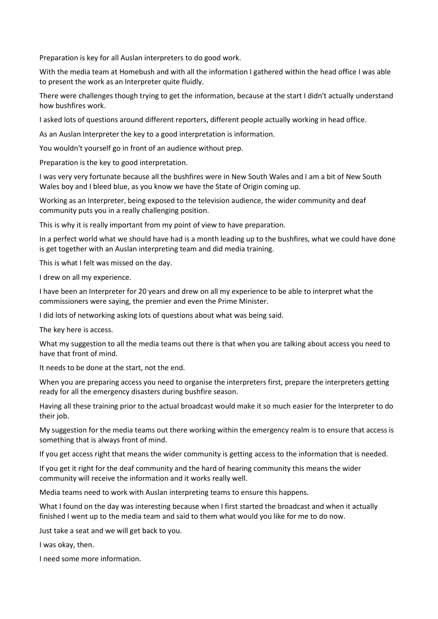Preparation is key for all Auslan interpreters to do good work.

With the media team at Homebush and with all the information I gathered within the head office I was able to present the work as an Interpreter quite fluidly.

There were challenges though trying to get the information, because at the start I didn't actually understand how bushfires work.

I asked lots of questions around different reporters, different people actually working in head office.

As an Auslan Interpreter the key to a good interpretation is information.

You wouldn't yourself go in front of an audience without prep.

Preparation is the key to good interpretation.

I was very very fortunate because all the bushfires were in New South Wales and I am a bit of New South Wales boy and I bleed blue, as you know we have the State of Origin coming up.

Working as an Interpreter, being exposed to the television audience, the wider community and deaf community puts you in a really challenging position.

This is why it is really important from my point of view to have preparation.

In a perfect world what we should have had is a month leading up to the bushfires, what we could have done is get together with an Auslan interpreting team and did media training.

This is what I felt was missed on the day.

I drew on all my experience.

I have been an Interpreter for 20 years and drew on all my experience to be able to interpret what the commissioners were saying, the premier and even the Prime Minister.

I did lots of networking asking lots of questions about what was being said.

The key here is access.

What my suggestion to all the media teams out there is that when you are talking about access you need to have that front of mind.

It needs to be done at the start, not the end.

When you are preparing access you need to organise the interpreters first, prepare the interpreters getting ready for all the emergency disasters during bushfire season.

Having all these training prior to the actual broadcast would make it so much easier for the Interpreter to do their job.

My suggestion for the media teams out there working within the emergency realm is to ensure that access is something that is always front of mind.

If you get access right that means the wider community is getting access to the information that is needed.

If you get it right for the deaf community and the hard of hearing community this means the wider community will receive the information and it works really well.

Media teams need to work with Auslan interpreting teams to ensure this happens.

What I found on the day was interesting because when I first started the broadcast and when it actually finished I went up to the media team and said to them what would you like for me to do now.

Just take a seat and we will get back to you.

I was okay, then.

I need some more information.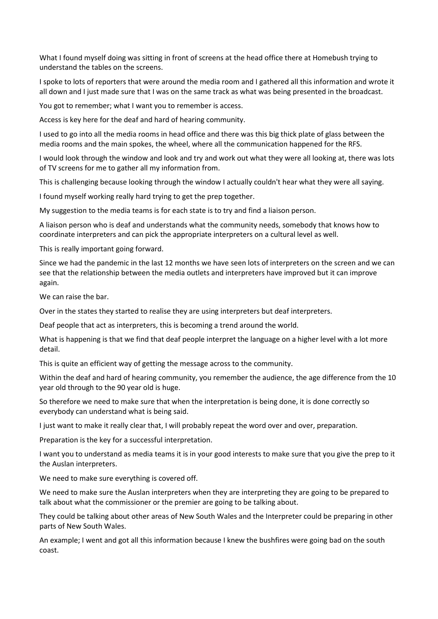What I found myself doing was sitting in front of screens at the head office there at Homebush trying to understand the tables on the screens.

I spoke to lots of reporters that were around the media room and I gathered all this information and wrote it all down and I just made sure that I was on the same track as what was being presented in the broadcast.

You got to remember; what I want you to remember is access.

Access is key here for the deaf and hard of hearing community.

I used to go into all the media rooms in head office and there was this big thick plate of glass between the media rooms and the main spokes, the wheel, where all the communication happened for the RFS.

I would look through the window and look and try and work out what they were all looking at, there was lots of TV screens for me to gather all my information from.

This is challenging because looking through the window I actually couldn't hear what they were all saying.

I found myself working really hard trying to get the prep together.

My suggestion to the media teams is for each state is to try and find a liaison person.

A liaison person who is deaf and understands what the community needs, somebody that knows how to coordinate interpreters and can pick the appropriate interpreters on a cultural level as well.

This is really important going forward.

Since we had the pandemic in the last 12 months we have seen lots of interpreters on the screen and we can see that the relationship between the media outlets and interpreters have improved but it can improve again.

We can raise the bar.

Over in the states they started to realise they are using interpreters but deaf interpreters.

Deaf people that act as interpreters, this is becoming a trend around the world.

What is happening is that we find that deaf people interpret the language on a higher level with a lot more detail.

This is quite an efficient way of getting the message across to the community.

Within the deaf and hard of hearing community, you remember the audience, the age difference from the 10 year old through to the 90 year old is huge.

So therefore we need to make sure that when the interpretation is being done, it is done correctly so everybody can understand what is being said.

I just want to make it really clear that, I will probably repeat the word over and over, preparation.

Preparation is the key for a successful interpretation.

I want you to understand as media teams it is in your good interests to make sure that you give the prep to it the Auslan interpreters.

We need to make sure everything is covered off.

We need to make sure the Auslan interpreters when they are interpreting they are going to be prepared to talk about what the commissioner or the premier are going to be talking about.

They could be talking about other areas of New South Wales and the Interpreter could be preparing in other parts of New South Wales.

An example; I went and got all this information because I knew the bushfires were going bad on the south coast.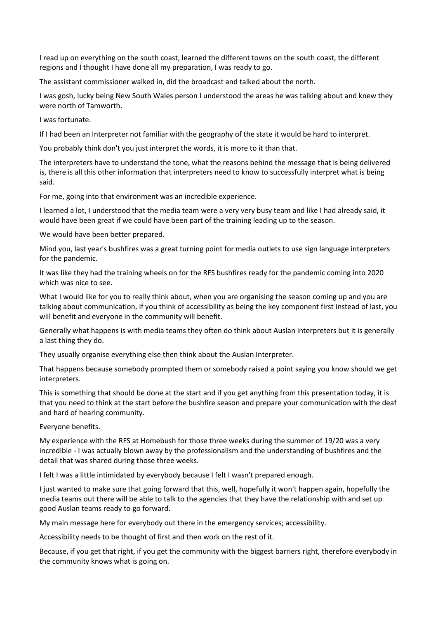I read up on everything on the south coast, learned the different towns on the south coast, the different regions and I thought I have done all my preparation, I was ready to go.

The assistant commissioner walked in, did the broadcast and talked about the north.

I was gosh, lucky being New South Wales person I understood the areas he was talking about and knew they were north of Tamworth.

I was fortunate.

If I had been an Interpreter not familiar with the geography of the state it would be hard to interpret.

You probably think don't you just interpret the words, it is more to it than that.

The interpreters have to understand the tone, what the reasons behind the message that is being delivered is, there is all this other information that interpreters need to know to successfully interpret what is being said.

For me, going into that environment was an incredible experience.

I learned a lot, I understood that the media team were a very very busy team and like I had already said, it would have been great if we could have been part of the training leading up to the season.

We would have been better prepared.

Mind you, last year's bushfires was a great turning point for media outlets to use sign language interpreters for the pandemic.

It was like they had the training wheels on for the RFS bushfires ready for the pandemic coming into 2020 which was nice to see.

What I would like for you to really think about, when you are organising the season coming up and you are talking about communication, if you think of accessibility as being the key component first instead of last, you will benefit and everyone in the community will benefit.

Generally what happens is with media teams they often do think about Auslan interpreters but it is generally a last thing they do.

They usually organise everything else then think about the Auslan Interpreter.

That happens because somebody prompted them or somebody raised a point saying you know should we get interpreters.

This is something that should be done at the start and if you get anything from this presentation today, it is that you need to think at the start before the bushfire season and prepare your communication with the deaf and hard of hearing community.

Everyone benefits.

My experience with the RFS at Homebush for those three weeks during the summer of 19/20 was a very incredible - I was actually blown away by the professionalism and the understanding of bushfires and the detail that was shared during those three weeks.

I felt I was a little intimidated by everybody because I felt I wasn't prepared enough.

I just wanted to make sure that going forward that this, well, hopefully it won't happen again, hopefully the media teams out there will be able to talk to the agencies that they have the relationship with and set up good Auslan teams ready to go forward.

My main message here for everybody out there in the emergency services; accessibility.

Accessibility needs to be thought of first and then work on the rest of it.

Because, if you get that right, if you get the community with the biggest barriers right, therefore everybody in the community knows what is going on.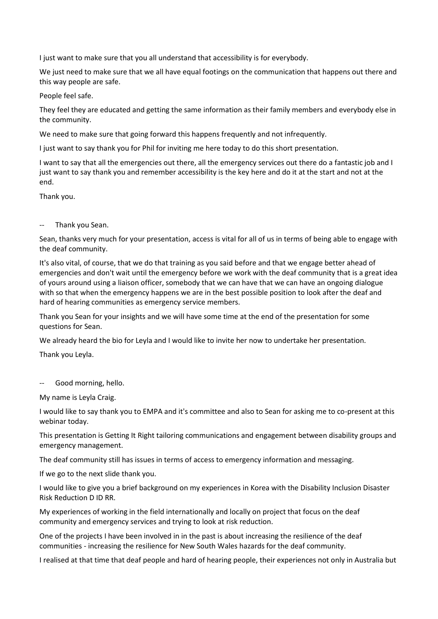I just want to make sure that you all understand that accessibility is for everybody.

We just need to make sure that we all have equal footings on the communication that happens out there and this way people are safe.

People feel safe.

They feel they are educated and getting the same information as their family members and everybody else in the community.

We need to make sure that going forward this happens frequently and not infrequently.

I just want to say thank you for Phil for inviting me here today to do this short presentation.

I want to say that all the emergencies out there, all the emergency services out there do a fantastic job and I just want to say thank you and remember accessibility is the key here and do it at the start and not at the end.

Thank you.

## -- Thank you Sean.

Sean, thanks very much for your presentation, access is vital for all of us in terms of being able to engage with the deaf community.

It's also vital, of course, that we do that training as you said before and that we engage better ahead of emergencies and don't wait until the emergency before we work with the deaf community that is a great idea of yours around using a liaison officer, somebody that we can have that we can have an ongoing dialogue with so that when the emergency happens we are in the best possible position to look after the deaf and hard of hearing communities as emergency service members.

Thank you Sean for your insights and we will have some time at the end of the presentation for some questions for Sean.

We already heard the bio for Leyla and I would like to invite her now to undertake her presentation.

Thank you Leyla.

-- Good morning, hello.

My name is Leyla Craig.

I would like to say thank you to EMPA and it's committee and also to Sean for asking me to co-present at this webinar today.

This presentation is Getting It Right tailoring communications and engagement between disability groups and emergency management.

The deaf community still has issues in terms of access to emergency information and messaging.

If we go to the next slide thank you.

I would like to give you a brief background on my experiences in Korea with the Disability Inclusion Disaster Risk Reduction D ID RR.

My experiences of working in the field internationally and locally on project that focus on the deaf community and emergency services and trying to look at risk reduction.

One of the projects I have been involved in in the past is about increasing the resilience of the deaf communities - increasing the resilience for New South Wales hazards for the deaf community.

I realised at that time that deaf people and hard of hearing people, their experiences not only in Australia but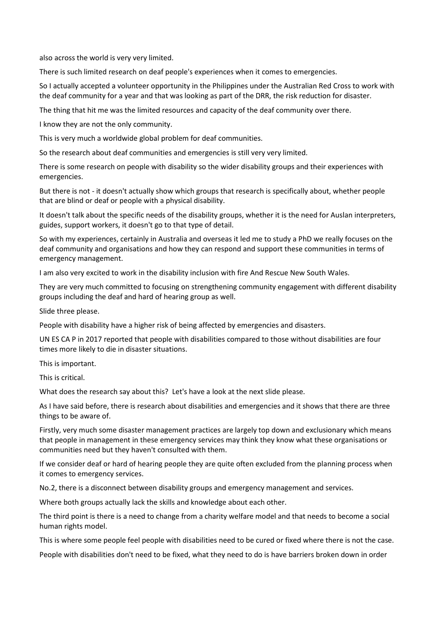also across the world is very very limited.

There is such limited research on deaf people's experiences when it comes to emergencies.

So I actually accepted a volunteer opportunity in the Philippines under the Australian Red Cross to work with the deaf community for a year and that was looking as part of the DRR, the risk reduction for disaster.

The thing that hit me was the limited resources and capacity of the deaf community over there.

I know they are not the only community.

This is very much a worldwide global problem for deaf communities.

So the research about deaf communities and emergencies is still very very limited.

There is some research on people with disability so the wider disability groups and their experiences with emergencies.

But there is not - it doesn't actually show which groups that research is specifically about, whether people that are blind or deaf or people with a physical disability.

It doesn't talk about the specific needs of the disability groups, whether it is the need for Auslan interpreters, guides, support workers, it doesn't go to that type of detail.

So with my experiences, certainly in Australia and overseas it led me to study a PhD we really focuses on the deaf community and organisations and how they can respond and support these communities in terms of emergency management.

I am also very excited to work in the disability inclusion with fire And Rescue New South Wales.

They are very much committed to focusing on strengthening community engagement with different disability groups including the deaf and hard of hearing group as well.

Slide three please.

People with disability have a higher risk of being affected by emergencies and disasters.

UN ES CA P in 2017 reported that people with disabilities compared to those without disabilities are four times more likely to die in disaster situations.

This is important.

This is critical.

What does the research say about this? Let's have a look at the next slide please.

As I have said before, there is research about disabilities and emergencies and it shows that there are three things to be aware of.

Firstly, very much some disaster management practices are largely top down and exclusionary which means that people in management in these emergency services may think they know what these organisations or communities need but they haven't consulted with them.

If we consider deaf or hard of hearing people they are quite often excluded from the planning process when it comes to emergency services.

No.2, there is a disconnect between disability groups and emergency management and services.

Where both groups actually lack the skills and knowledge about each other.

The third point is there is a need to change from a charity welfare model and that needs to become a social human rights model.

This is where some people feel people with disabilities need to be cured or fixed where there is not the case.

People with disabilities don't need to be fixed, what they need to do is have barriers broken down in order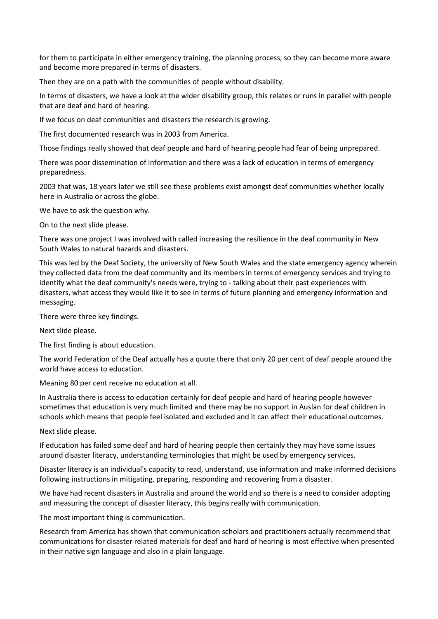for them to participate in either emergency training, the planning process, so they can become more aware and become more prepared in terms of disasters.

Then they are on a path with the communities of people without disability.

In terms of disasters, we have a look at the wider disability group, this relates or runs in parallel with people that are deaf and hard of hearing.

If we focus on deaf communities and disasters the research is growing.

The first documented research was in 2003 from America.

Those findings really showed that deaf people and hard of hearing people had fear of being unprepared.

There was poor dissemination of information and there was a lack of education in terms of emergency preparedness.

2003 that was, 18 years later we still see these problems exist amongst deaf communities whether locally here in Australia or across the globe.

We have to ask the question why.

On to the next slide please.

There was one project I was involved with called increasing the resilience in the deaf community in New South Wales to natural hazards and disasters.

This was led by the Deaf Society, the university of New South Wales and the state emergency agency wherein they collected data from the deaf community and its members in terms of emergency services and trying to identify what the deaf community's needs were, trying to - talking about their past experiences with disasters, what access they would like it to see in terms of future planning and emergency information and messaging.

There were three key findings.

Next slide please.

The first finding is about education.

The world Federation of the Deaf actually has a quote there that only 20 per cent of deaf people around the world have access to education.

Meaning 80 per cent receive no education at all.

In Australia there is access to education certainly for deaf people and hard of hearing people however sometimes that education is very much limited and there may be no support in Auslan for deaf children in schools which means that people feel isolated and excluded and it can affect their educational outcomes.

Next slide please.

If education has failed some deaf and hard of hearing people then certainly they may have some issues around disaster literacy, understanding terminologies that might be used by emergency services.

Disaster literacy is an individual's capacity to read, understand, use information and make informed decisions following instructions in mitigating, preparing, responding and recovering from a disaster.

We have had recent disasters in Australia and around the world and so there is a need to consider adopting and measuring the concept of disaster literacy, this begins really with communication.

The most important thing is communication.

Research from America has shown that communication scholars and practitioners actually recommend that communications for disaster related materials for deaf and hard of hearing is most effective when presented in their native sign language and also in a plain language.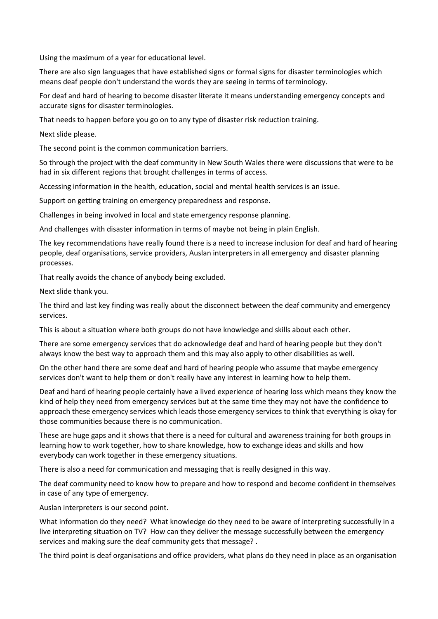Using the maximum of a year for educational level.

There are also sign languages that have established signs or formal signs for disaster terminologies which means deaf people don't understand the words they are seeing in terms of terminology.

For deaf and hard of hearing to become disaster literate it means understanding emergency concepts and accurate signs for disaster terminologies.

That needs to happen before you go on to any type of disaster risk reduction training.

Next slide please.

The second point is the common communication barriers.

So through the project with the deaf community in New South Wales there were discussions that were to be had in six different regions that brought challenges in terms of access.

Accessing information in the health, education, social and mental health services is an issue.

Support on getting training on emergency preparedness and response.

Challenges in being involved in local and state emergency response planning.

And challenges with disaster information in terms of maybe not being in plain English.

The key recommendations have really found there is a need to increase inclusion for deaf and hard of hearing people, deaf organisations, service providers, Auslan interpreters in all emergency and disaster planning processes.

That really avoids the chance of anybody being excluded.

Next slide thank you.

The third and last key finding was really about the disconnect between the deaf community and emergency services.

This is about a situation where both groups do not have knowledge and skills about each other.

There are some emergency services that do acknowledge deaf and hard of hearing people but they don't always know the best way to approach them and this may also apply to other disabilities as well.

On the other hand there are some deaf and hard of hearing people who assume that maybe emergency services don't want to help them or don't really have any interest in learning how to help them.

Deaf and hard of hearing people certainly have a lived experience of hearing loss which means they know the kind of help they need from emergency services but at the same time they may not have the confidence to approach these emergency services which leads those emergency services to think that everything is okay for those communities because there is no communication.

These are huge gaps and it shows that there is a need for cultural and awareness training for both groups in learning how to work together, how to share knowledge, how to exchange ideas and skills and how everybody can work together in these emergency situations.

There is also a need for communication and messaging that is really designed in this way.

The deaf community need to know how to prepare and how to respond and become confident in themselves in case of any type of emergency.

Auslan interpreters is our second point.

What information do they need? What knowledge do they need to be aware of interpreting successfully in a live interpreting situation on TV? How can they deliver the message successfully between the emergency services and making sure the deaf community gets that message? .

The third point is deaf organisations and office providers, what plans do they need in place as an organisation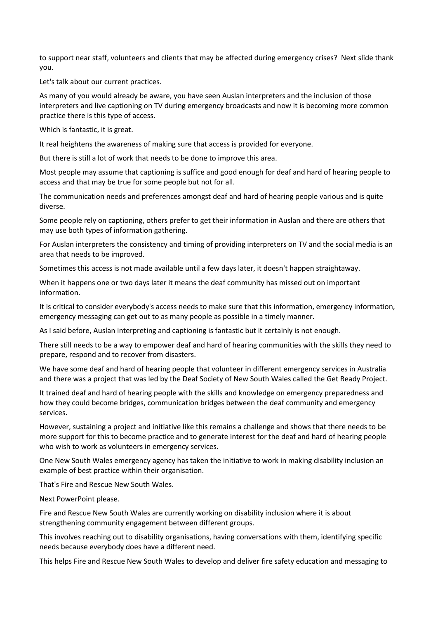to support near staff, volunteers and clients that may be affected during emergency crises? Next slide thank you.

Let's talk about our current practices.

As many of you would already be aware, you have seen Auslan interpreters and the inclusion of those interpreters and live captioning on TV during emergency broadcasts and now it is becoming more common practice there is this type of access.

Which is fantastic, it is great.

It real heightens the awareness of making sure that access is provided for everyone.

But there is still a lot of work that needs to be done to improve this area.

Most people may assume that captioning is suffice and good enough for deaf and hard of hearing people to access and that may be true for some people but not for all.

The communication needs and preferences amongst deaf and hard of hearing people various and is quite diverse.

Some people rely on captioning, others prefer to get their information in Auslan and there are others that may use both types of information gathering.

For Auslan interpreters the consistency and timing of providing interpreters on TV and the social media is an area that needs to be improved.

Sometimes this access is not made available until a few days later, it doesn't happen straightaway.

When it happens one or two days later it means the deaf community has missed out on important information.

It is critical to consider everybody's access needs to make sure that this information, emergency information, emergency messaging can get out to as many people as possible in a timely manner.

As I said before, Auslan interpreting and captioning is fantastic but it certainly is not enough.

There still needs to be a way to empower deaf and hard of hearing communities with the skills they need to prepare, respond and to recover from disasters.

We have some deaf and hard of hearing people that volunteer in different emergency services in Australia and there was a project that was led by the Deaf Society of New South Wales called the Get Ready Project.

It trained deaf and hard of hearing people with the skills and knowledge on emergency preparedness and how they could become bridges, communication bridges between the deaf community and emergency services.

However, sustaining a project and initiative like this remains a challenge and shows that there needs to be more support for this to become practice and to generate interest for the deaf and hard of hearing people who wish to work as volunteers in emergency services.

One New South Wales emergency agency has taken the initiative to work in making disability inclusion an example of best practice within their organisation.

That's Fire and Rescue New South Wales.

Next PowerPoint please.

Fire and Rescue New South Wales are currently working on disability inclusion where it is about strengthening community engagement between different groups.

This involves reaching out to disability organisations, having conversations with them, identifying specific needs because everybody does have a different need.

This helps Fire and Rescue New South Wales to develop and deliver fire safety education and messaging to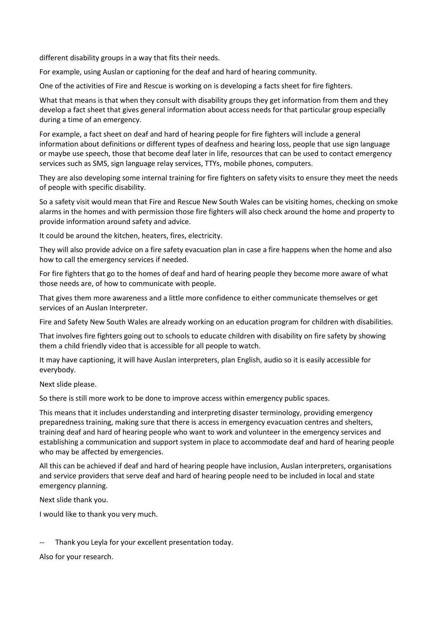different disability groups in a way that fits their needs.

For example, using Auslan or captioning for the deaf and hard of hearing community.

One of the activities of Fire and Rescue is working on is developing a facts sheet for fire fighters.

What that means is that when they consult with disability groups they get information from them and they develop a fact sheet that gives general information about access needs for that particular group especially during a time of an emergency.

For example, a fact sheet on deaf and hard of hearing people for fire fighters will include a general information about definitions or different types of deafness and hearing loss, people that use sign language or maybe use speech, those that become deaf later in life, resources that can be used to contact emergency services such as SMS, sign language relay services, TTYs, mobile phones, computers.

They are also developing some internal training for fire fighters on safety visits to ensure they meet the needs of people with specific disability.

So a safety visit would mean that Fire and Rescue New South Wales can be visiting homes, checking on smoke alarms in the homes and with permission those fire fighters will also check around the home and property to provide information around safety and advice.

It could be around the kitchen, heaters, fires, electricity.

They will also provide advice on a fire safety evacuation plan in case a fire happens when the home and also how to call the emergency services if needed.

For fire fighters that go to the homes of deaf and hard of hearing people they become more aware of what those needs are, of how to communicate with people.

That gives them more awareness and a little more confidence to either communicate themselves or get services of an Auslan Interpreter.

Fire and Safety New South Wales are already working on an education program for children with disabilities.

That involves fire fighters going out to schools to educate children with disability on fire safety by showing them a child friendly video that is accessible for all people to watch.

It may have captioning, it will have Auslan interpreters, plan English, audio so it is easily accessible for everybody.

Next slide please.

So there is still more work to be done to improve access within emergency public spaces.

This means that it includes understanding and interpreting disaster terminology, providing emergency preparedness training, making sure that there is access in emergency evacuation centres and shelters, training deaf and hard of hearing people who want to work and volunteer in the emergency services and establishing a communication and support system in place to accommodate deaf and hard of hearing people who may be affected by emergencies.

All this can be achieved if deaf and hard of hearing people have inclusion, Auslan interpreters, organisations and service providers that serve deaf and hard of hearing people need to be included in local and state emergency planning.

Next slide thank you.

I would like to thank you very much.

Thank you Leyla for your excellent presentation today.

Also for your research.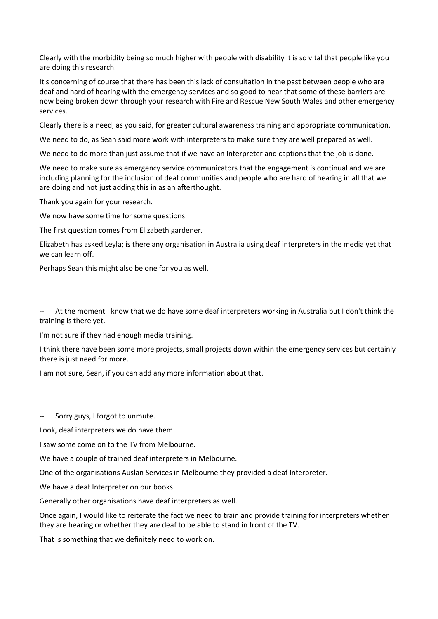Clearly with the morbidity being so much higher with people with disability it is so vital that people like you are doing this research.

It's concerning of course that there has been this lack of consultation in the past between people who are deaf and hard of hearing with the emergency services and so good to hear that some of these barriers are now being broken down through your research with Fire and Rescue New South Wales and other emergency services.

Clearly there is a need, as you said, for greater cultural awareness training and appropriate communication.

We need to do, as Sean said more work with interpreters to make sure they are well prepared as well.

We need to do more than just assume that if we have an Interpreter and captions that the job is done.

We need to make sure as emergency service communicators that the engagement is continual and we are including planning for the inclusion of deaf communities and people who are hard of hearing in all that we are doing and not just adding this in as an afterthought.

Thank you again for your research.

We now have some time for some questions.

The first question comes from Elizabeth gardener.

Elizabeth has asked Leyla; is there any organisation in Australia using deaf interpreters in the media yet that we can learn off.

Perhaps Sean this might also be one for you as well.

At the moment I know that we do have some deaf interpreters working in Australia but I don't think the training is there yet.

I'm not sure if they had enough media training.

I think there have been some more projects, small projects down within the emergency services but certainly there is just need for more.

I am not sure, Sean, if you can add any more information about that.

Sorry guys, I forgot to unmute.

Look, deaf interpreters we do have them.

I saw some come on to the TV from Melbourne.

We have a couple of trained deaf interpreters in Melbourne.

One of the organisations Auslan Services in Melbourne they provided a deaf Interpreter.

We have a deaf Interpreter on our books.

Generally other organisations have deaf interpreters as well.

Once again, I would like to reiterate the fact we need to train and provide training for interpreters whether they are hearing or whether they are deaf to be able to stand in front of the TV.

That is something that we definitely need to work on.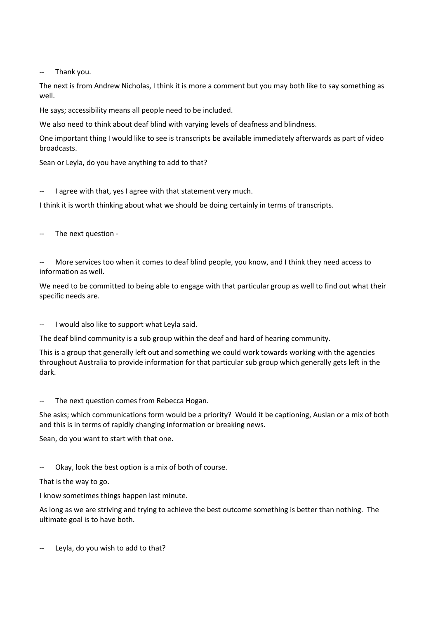-- Thank you.

The next is from Andrew Nicholas, I think it is more a comment but you may both like to say something as well.

He says; accessibility means all people need to be included.

We also need to think about deaf blind with varying levels of deafness and blindness.

One important thing I would like to see is transcripts be available immediately afterwards as part of video broadcasts.

Sean or Leyla, do you have anything to add to that?

-- I agree with that, yes I agree with that statement very much.

I think it is worth thinking about what we should be doing certainly in terms of transcripts.

The next question -

-- More services too when it comes to deaf blind people, you know, and I think they need access to information as well.

We need to be committed to being able to engage with that particular group as well to find out what their specific needs are.

-- I would also like to support what Leyla said.

The deaf blind community is a sub group within the deaf and hard of hearing community.

This is a group that generally left out and something we could work towards working with the agencies throughout Australia to provide information for that particular sub group which generally gets left in the dark.

-- The next question comes from Rebecca Hogan.

She asks; which communications form would be a priority? Would it be captioning, Auslan or a mix of both and this is in terms of rapidly changing information or breaking news.

Sean, do you want to start with that one.

-- Okay, look the best option is a mix of both of course.

That is the way to go.

I know sometimes things happen last minute.

As long as we are striving and trying to achieve the best outcome something is better than nothing. The ultimate goal is to have both.

Leyla, do you wish to add to that?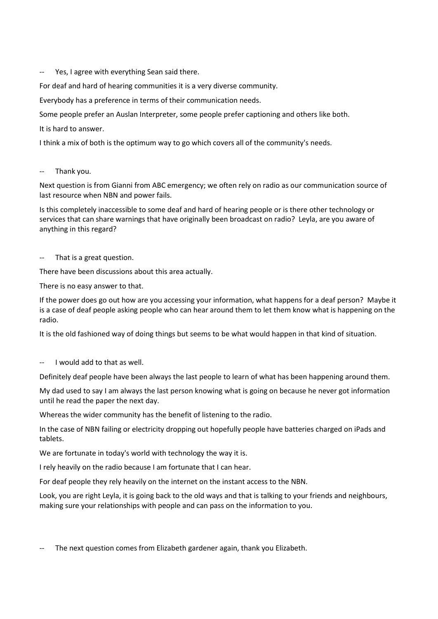-- Yes, I agree with everything Sean said there.

For deaf and hard of hearing communities it is a very diverse community.

Everybody has a preference in terms of their communication needs.

Some people prefer an Auslan Interpreter, some people prefer captioning and others like both.

It is hard to answer.

I think a mix of both is the optimum way to go which covers all of the community's needs.

## -- Thank you.

Next question is from Gianni from ABC emergency; we often rely on radio as our communication source of last resource when NBN and power fails.

Is this completely inaccessible to some deaf and hard of hearing people or is there other technology or services that can share warnings that have originally been broadcast on radio? Leyla, are you aware of anything in this regard?

## -- That is a great question.

There have been discussions about this area actually.

There is no easy answer to that.

If the power does go out how are you accessing your information, what happens for a deaf person? Maybe it is a case of deaf people asking people who can hear around them to let them know what is happening on the radio.

It is the old fashioned way of doing things but seems to be what would happen in that kind of situation.

I would add to that as well.

Definitely deaf people have been always the last people to learn of what has been happening around them.

My dad used to say I am always the last person knowing what is going on because he never got information until he read the paper the next day.

Whereas the wider community has the benefit of listening to the radio.

In the case of NBN failing or electricity dropping out hopefully people have batteries charged on iPads and tablets.

We are fortunate in today's world with technology the way it is.

I rely heavily on the radio because I am fortunate that I can hear.

For deaf people they rely heavily on the internet on the instant access to the NBN.

Look, you are right Leyla, it is going back to the old ways and that is talking to your friends and neighbours, making sure your relationships with people and can pass on the information to you.

The next question comes from Elizabeth gardener again, thank you Elizabeth.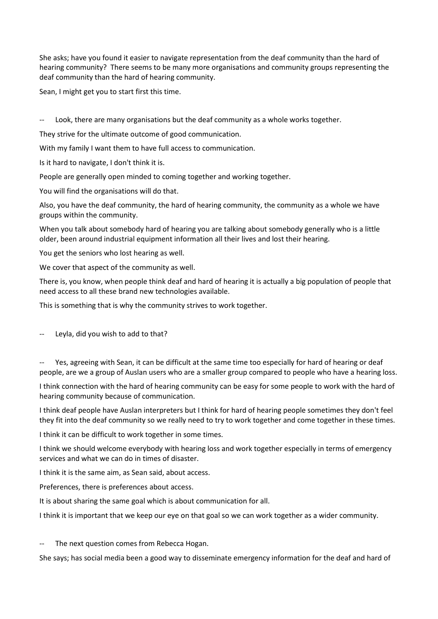She asks; have you found it easier to navigate representation from the deaf community than the hard of hearing community? There seems to be many more organisations and community groups representing the deaf community than the hard of hearing community.

Sean, I might get you to start first this time.

-- Look, there are many organisations but the deaf community as a whole works together.

They strive for the ultimate outcome of good communication.

With my family I want them to have full access to communication.

Is it hard to navigate, I don't think it is.

People are generally open minded to coming together and working together.

You will find the organisations will do that.

Also, you have the deaf community, the hard of hearing community, the community as a whole we have groups within the community.

When you talk about somebody hard of hearing you are talking about somebody generally who is a little older, been around industrial equipment information all their lives and lost their hearing.

You get the seniors who lost hearing as well.

We cover that aspect of the community as well.

There is, you know, when people think deaf and hard of hearing it is actually a big population of people that need access to all these brand new technologies available.

This is something that is why the community strives to work together.

Leyla, did you wish to add to that?

Yes, agreeing with Sean, it can be difficult at the same time too especially for hard of hearing or deaf people, are we a group of Auslan users who are a smaller group compared to people who have a hearing loss.

I think connection with the hard of hearing community can be easy for some people to work with the hard of hearing community because of communication.

I think deaf people have Auslan interpreters but I think for hard of hearing people sometimes they don't feel they fit into the deaf community so we really need to try to work together and come together in these times.

I think it can be difficult to work together in some times.

I think we should welcome everybody with hearing loss and work together especially in terms of emergency services and what we can do in times of disaster.

I think it is the same aim, as Sean said, about access.

Preferences, there is preferences about access.

It is about sharing the same goal which is about communication for all.

I think it is important that we keep our eye on that goal so we can work together as a wider community.

The next question comes from Rebecca Hogan.

She says; has social media been a good way to disseminate emergency information for the deaf and hard of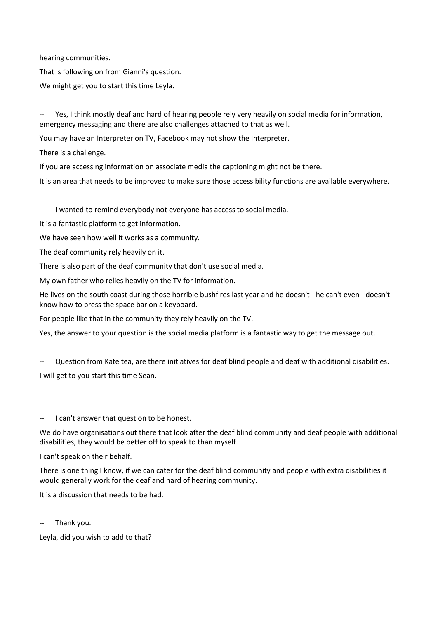hearing communities.

That is following on from Gianni's question.

We might get you to start this time Leyla.

Yes, I think mostly deaf and hard of hearing people rely very heavily on social media for information, emergency messaging and there are also challenges attached to that as well.

You may have an Interpreter on TV, Facebook may not show the Interpreter.

There is a challenge.

If you are accessing information on associate media the captioning might not be there.

It is an area that needs to be improved to make sure those accessibility functions are available everywhere.

I wanted to remind everybody not everyone has access to social media.

It is a fantastic platform to get information.

We have seen how well it works as a community.

The deaf community rely heavily on it.

There is also part of the deaf community that don't use social media.

My own father who relies heavily on the TV for information.

He lives on the south coast during those horrible bushfires last year and he doesn't - he can't even - doesn't know how to press the space bar on a keyboard.

For people like that in the community they rely heavily on the TV.

Yes, the answer to your question is the social media platform is a fantastic way to get the message out.

Question from Kate tea, are there initiatives for deaf blind people and deaf with additional disabilities.

I will get to you start this time Sean.

-- I can't answer that question to be honest.

We do have organisations out there that look after the deaf blind community and deaf people with additional disabilities, they would be better off to speak to than myself.

I can't speak on their behalf.

There is one thing I know, if we can cater for the deaf blind community and people with extra disabilities it would generally work for the deaf and hard of hearing community.

It is a discussion that needs to be had.

Thank you.

Leyla, did you wish to add to that?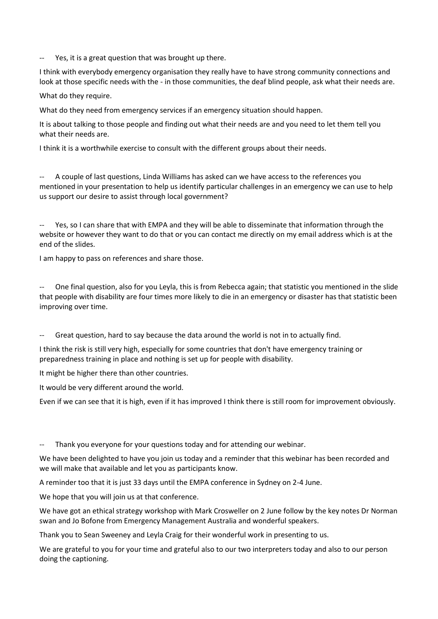-- Yes, it is a great question that was brought up there.

I think with everybody emergency organisation they really have to have strong community connections and look at those specific needs with the - in those communities, the deaf blind people, ask what their needs are.

What do they require.

What do they need from emergency services if an emergency situation should happen.

It is about talking to those people and finding out what their needs are and you need to let them tell you what their needs are.

I think it is a worthwhile exercise to consult with the different groups about their needs.

A couple of last questions, Linda Williams has asked can we have access to the references you mentioned in your presentation to help us identify particular challenges in an emergency we can use to help us support our desire to assist through local government?

Yes, so I can share that with EMPA and they will be able to disseminate that information through the website or however they want to do that or you can contact me directly on my email address which is at the end of the slides.

I am happy to pass on references and share those.

One final question, also for you Leyla, this is from Rebecca again; that statistic you mentioned in the slide that people with disability are four times more likely to die in an emergency or disaster has that statistic been improving over time.

-- Great question, hard to say because the data around the world is not in to actually find.

I think the risk is still very high, especially for some countries that don't have emergency training or preparedness training in place and nothing is set up for people with disability.

It might be higher there than other countries.

It would be very different around the world.

Even if we can see that it is high, even if it has improved I think there is still room for improvement obviously.

Thank you everyone for your questions today and for attending our webinar.

We have been delighted to have you join us today and a reminder that this webinar has been recorded and we will make that available and let you as participants know.

A reminder too that it is just 33 days until the EMPA conference in Sydney on 2-4 June.

We hope that you will join us at that conference.

We have got an ethical strategy workshop with Mark Crosweller on 2 June follow by the key notes Dr Norman swan and Jo Bofone from Emergency Management Australia and wonderful speakers.

Thank you to Sean Sweeney and Leyla Craig for their wonderful work in presenting to us.

We are grateful to you for your time and grateful also to our two interpreters today and also to our person doing the captioning.